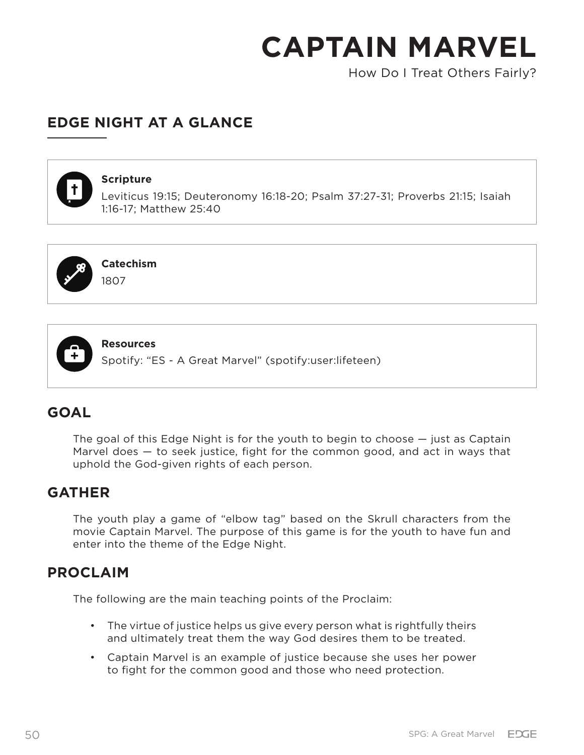How Do I Treat Others Fairly?

## **EDGE NIGHT AT A GLANCE**



#### **Scripture**

Leviticus 19:15; Deuteronomy 16:18-20; Psalm 37:27-31; Proverbs 21:15; Isaiah 1:16-17; Matthew 25:40



**Catechism** 1807



**Resources**

Spotify: "ES - A Great Marvel" (spotify:user:lifeteen)

## **GOAL**

The goal of this Edge Night is for the youth to begin to choose — just as Captain Marvel does  $-$  to seek justice, fight for the common good, and act in ways that uphold the God-given rights of each person.

## **GATHER**

The youth play a game of "elbow tag" based on the Skrull characters from the movie Captain Marvel. The purpose of this game is for the youth to have fun and enter into the theme of the Edge Night.

## **PROCLAIM**

The following are the main teaching points of the Proclaim:

- The virtue of justice helps us give every person what is rightfully theirs and ultimately treat them the way God desires them to be treated.
- Captain Marvel is an example of justice because she uses her power to fight for the common good and those who need protection.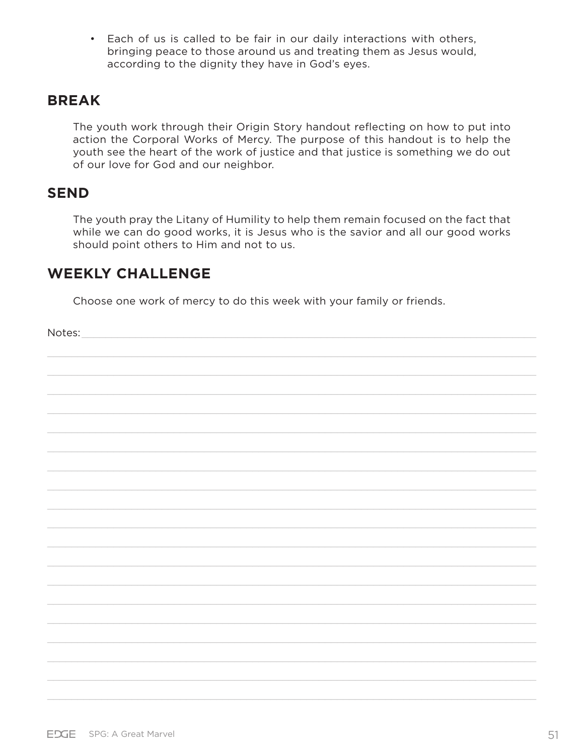• Each of us is called to be fair in our daily interactions with others, bringing peace to those around us and treating them as Jesus would, according to the dignity they have in God's eyes.

## **BREAK**

The youth work through their Origin Story handout reflecting on how to put into action the Corporal Works of Mercy. The purpose of this handout is to help the youth see the heart of the work of justice and that justice is something we do out of our love for God and our neighbor.

### **SEND**

The youth pray the Litany of Humility to help them remain focused on the fact that while we can do good works, it is Jesus who is the savior and all our good works should point others to Him and not to us.

### **WEEKLY CHALLENGE**

Choose one work of mercy to do this week with your family or friends.

Notes: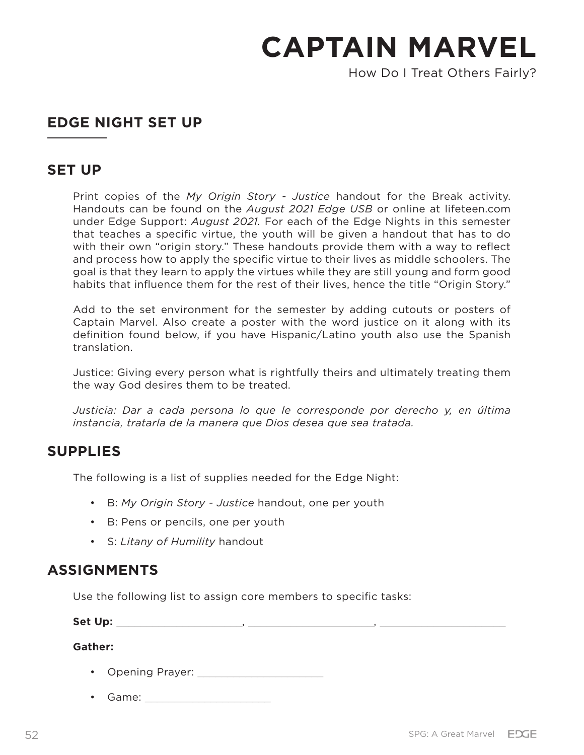How Do I Treat Others Fairly?

## **EDGE NIGHT SET UP**

### **SET UP**

Print copies of the *My Origin Story - Justice* handout for the Break activity. Handouts can be found on the *August 2021 Edge USB* or online at lifeteen.com under Edge Support: *August 2021.* For each of the Edge Nights in this semester that teaches a specific virtue, the youth will be given a handout that has to do with their own "origin story." These handouts provide them with a way to reflect and process how to apply the specific virtue to their lives as middle schoolers. The goal is that they learn to apply the virtues while they are still young and form good habits that influence them for the rest of their lives, hence the title "Origin Story."

Add to the set environment for the semester by adding cutouts or posters of Captain Marvel. Also create a poster with the word justice on it along with its definition found below, if you have Hispanic/Latino youth also use the Spanish translation.

Justice: Giving every person what is rightfully theirs and ultimately treating them the way God desires them to be treated.

*Justicia: Dar a cada persona lo que le corresponde por derecho y, en última instancia, tratarla de la manera que Dios desea que sea tratada.*

## **SUPPLIES**

The following is a list of supplies needed for the Edge Night:

- B: *My Origin Story Justice* handout, one per youth
- B: Pens or pencils, one per youth
- S: *Litany of Humility* handout

## **ASSIGNMENTS**

Use the following list to assign core members to specific tasks:

**Set Up:** \_\_\_\_\_\_\_\_\_\_\_\_\_\_\_\_\_\_\_\_\_, \_\_\_\_\_\_\_\_\_\_\_\_\_\_\_\_\_\_\_\_\_, \_\_\_\_\_\_\_\_\_\_\_\_\_\_\_\_\_\_\_\_\_

**Gather:**

- Opening Prayer:
- Game: \_\_\_\_\_\_\_\_\_\_\_\_\_\_\_\_\_\_\_\_\_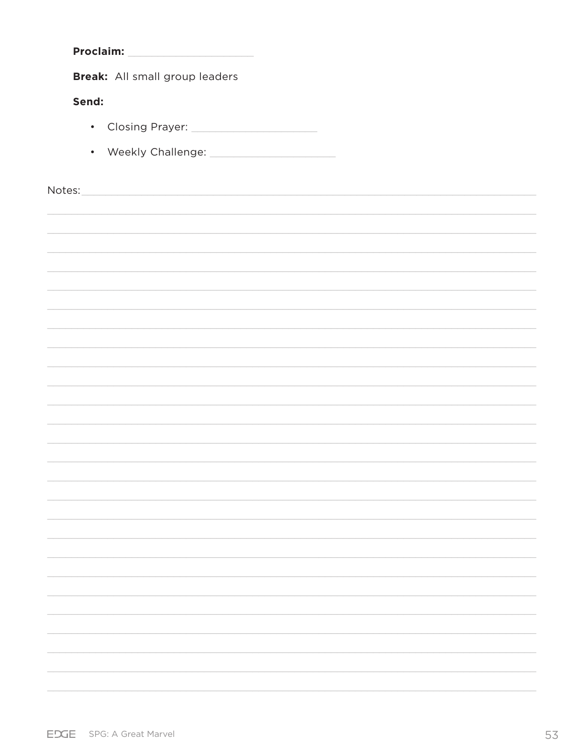| <b>Proclaim:</b><br><u> 1989 - Johann Stein, fransk politik (</u>                                                                                                                                                              |  |
|--------------------------------------------------------------------------------------------------------------------------------------------------------------------------------------------------------------------------------|--|
| Break: All small group leaders                                                                                                                                                                                                 |  |
| Send:                                                                                                                                                                                                                          |  |
|                                                                                                                                                                                                                                |  |
|                                                                                                                                                                                                                                |  |
|                                                                                                                                                                                                                                |  |
| Notes: Notes: Notes: Notes: Notes: Notes: Notes: Notes: Notes: Notes: Notes: Notes: Notes: Notes: Notes: Notes: Notes: Notes: Notes: Notes: Notes: Notes: Notes: Notes: Notes: Notes: Notes: Notes: Notes: Notes: Notes: Notes |  |
|                                                                                                                                                                                                                                |  |
|                                                                                                                                                                                                                                |  |
|                                                                                                                                                                                                                                |  |
|                                                                                                                                                                                                                                |  |
|                                                                                                                                                                                                                                |  |
|                                                                                                                                                                                                                                |  |
|                                                                                                                                                                                                                                |  |
|                                                                                                                                                                                                                                |  |
|                                                                                                                                                                                                                                |  |
|                                                                                                                                                                                                                                |  |
|                                                                                                                                                                                                                                |  |
|                                                                                                                                                                                                                                |  |
|                                                                                                                                                                                                                                |  |
|                                                                                                                                                                                                                                |  |
|                                                                                                                                                                                                                                |  |
|                                                                                                                                                                                                                                |  |
|                                                                                                                                                                                                                                |  |
|                                                                                                                                                                                                                                |  |
|                                                                                                                                                                                                                                |  |
|                                                                                                                                                                                                                                |  |
|                                                                                                                                                                                                                                |  |
|                                                                                                                                                                                                                                |  |
|                                                                                                                                                                                                                                |  |
|                                                                                                                                                                                                                                |  |
|                                                                                                                                                                                                                                |  |
|                                                                                                                                                                                                                                |  |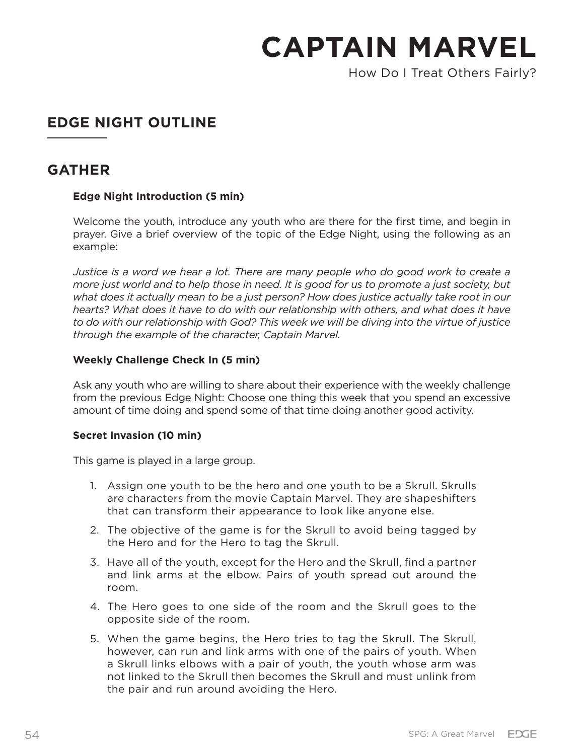How Do I Treat Others Fairly?

## **EDGE NIGHT OUTLINE**

## **GATHER**

#### **Edge Night Introduction (5 min)**

Welcome the youth, introduce any youth who are there for the first time, and begin in prayer. Give a brief overview of the topic of the Edge Night, using the following as an example:

*Justice is a word we hear a lot. There are many people who do good work to create a more just world and to help those in need. It is good for us to promote a just society, but what does it actually mean to be a just person? How does justice actually take root in our hearts? What does it have to do with our relationship with others, and what does it have to do with our relationship with God? This week we will be diving into the virtue of justice through the example of the character, Captain Marvel.* 

#### **Weekly Challenge Check In (5 min)**

Ask any youth who are willing to share about their experience with the weekly challenge from the previous Edge Night: Choose one thing this week that you spend an excessive amount of time doing and spend some of that time doing another good activity.

#### **Secret Invasion (10 min)**

This game is played in a large group.

- 1. Assign one youth to be the hero and one youth to be a Skrull. Skrulls are characters from the movie Captain Marvel. They are shapeshifters that can transform their appearance to look like anyone else.
- 2. The objective of the game is for the Skrull to avoid being tagged by the Hero and for the Hero to tag the Skrull.
- 3. Have all of the youth, except for the Hero and the Skrull, find a partner and link arms at the elbow. Pairs of youth spread out around the room.
- 4. The Hero goes to one side of the room and the Skrull goes to the opposite side of the room.
- 5. When the game begins, the Hero tries to tag the Skrull. The Skrull, however, can run and link arms with one of the pairs of youth. When a Skrull links elbows with a pair of youth, the youth whose arm was not linked to the Skrull then becomes the Skrull and must unlink from the pair and run around avoiding the Hero.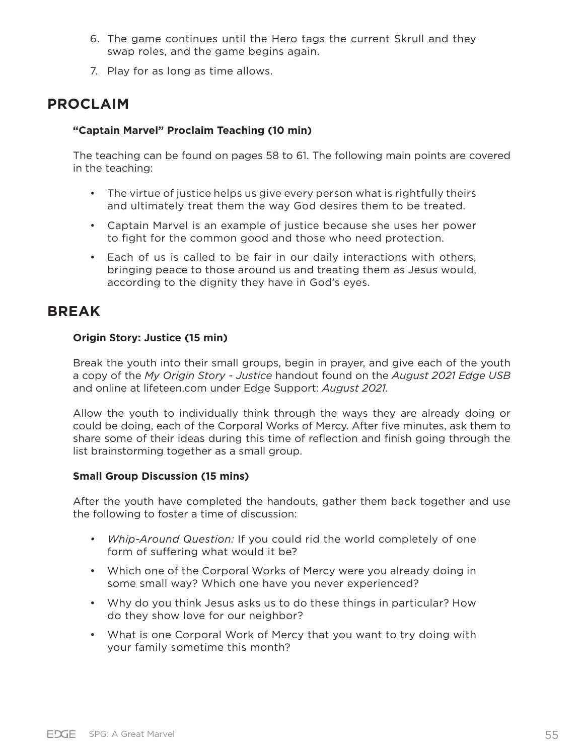- 6. The game continues until the Hero tags the current Skrull and they swap roles, and the game begins again.
- 7. Play for as long as time allows.

## **PROCLAIM**

#### **"Captain Marvel" Proclaim Teaching (10 min)**

The teaching can be found on pages 58 to 61. The following main points are covered in the teaching:

- The virtue of justice helps us give every person what is rightfully theirs and ultimately treat them the way God desires them to be treated.
- Captain Marvel is an example of justice because she uses her power to fight for the common good and those who need protection.
- Each of us is called to be fair in our daily interactions with others, bringing peace to those around us and treating them as Jesus would, according to the dignity they have in God's eyes.

## **BREAK**

#### **Origin Story: Justice (15 min)**

Break the youth into their small groups, begin in prayer, and give each of the youth a copy of the *My Origin Story - Justice* handout found on the *August 2021 Edge USB* and online at lifeteen.com under Edge Support: *August 2021.* 

Allow the youth to individually think through the ways they are already doing or could be doing, each of the Corporal Works of Mercy. After five minutes, ask them to share some of their ideas during this time of reflection and finish going through the list brainstorming together as a small group.

#### **Small Group Discussion (15 mins)**

After the youth have completed the handouts, gather them back together and use the following to foster a time of discussion:

- *• Whip-Around Question:* If you could rid the world completely of one form of suffering what would it be?
- Which one of the Corporal Works of Mercy were you already doing in some small way? Which one have you never experienced?
- Why do you think Jesus asks us to do these things in particular? How do they show love for our neighbor?
- What is one Corporal Work of Mercy that you want to try doing with your family sometime this month?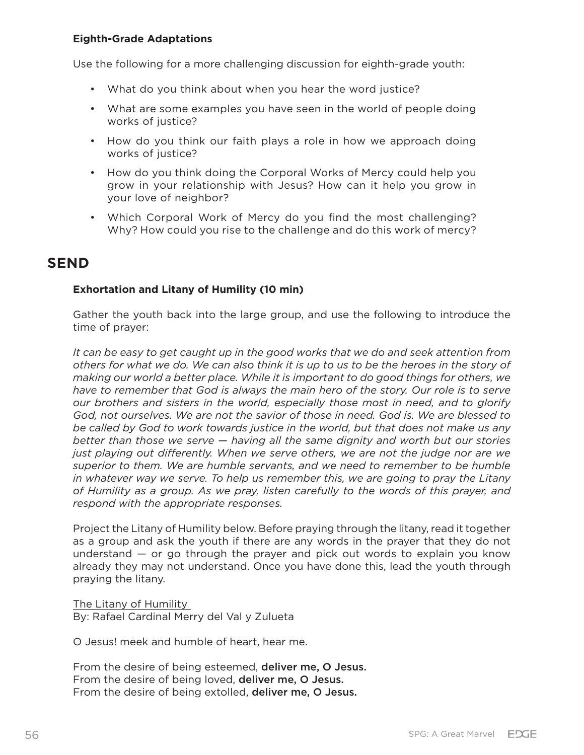#### **Eighth-Grade Adaptations**

Use the following for a more challenging discussion for eighth-grade youth:

- What do you think about when you hear the word justice?
- What are some examples you have seen in the world of people doing works of justice?
- How do you think our faith plays a role in how we approach doing works of justice?
- How do you think doing the Corporal Works of Mercy could help you grow in your relationship with Jesus? How can it help you grow in your love of neighbor?
- Which Corporal Work of Mercy do you find the most challenging? Why? How could you rise to the challenge and do this work of mercy?

## **SEND**

#### **Exhortation and Litany of Humility (10 min)**

Gather the youth back into the large group, and use the following to introduce the time of prayer:

*It can be easy to get caught up in the good works that we do and seek attention from others for what we do. We can also think it is up to us to be the heroes in the story of making our world a better place. While it is important to do good things for others, we have to remember that God is always the main hero of the story. Our role is to serve our brothers and sisters in the world, especially those most in need, and to glorify God, not ourselves. We are not the savior of those in need. God is. We are blessed to be called by God to work towards justice in the world, but that does not make us any better than those we serve — having all the same dignity and worth but our stories just playing out differently. When we serve others, we are not the judge nor are we superior to them. We are humble servants, and we need to remember to be humble in whatever way we serve. To help us remember this, we are going to pray the Litany of Humility as a group. As we pray, listen carefully to the words of this prayer, and respond with the appropriate responses.*

Project the Litany of Humility below. Before praying through the litany, read it together as a group and ask the youth if there are any words in the prayer that they do not understand — or go through the prayer and pick out words to explain you know already they may not understand. Once you have done this, lead the youth through praying the litany.

The Litany of Humility By: Rafael Cardinal Merry del Val y Zulueta

O Jesus! meek and humble of heart, hear me.

From the desire of being esteemed, deliver me, O Jesus. From the desire of being loved, deliver me, O Jesus. From the desire of being extolled, deliver me, O Jesus.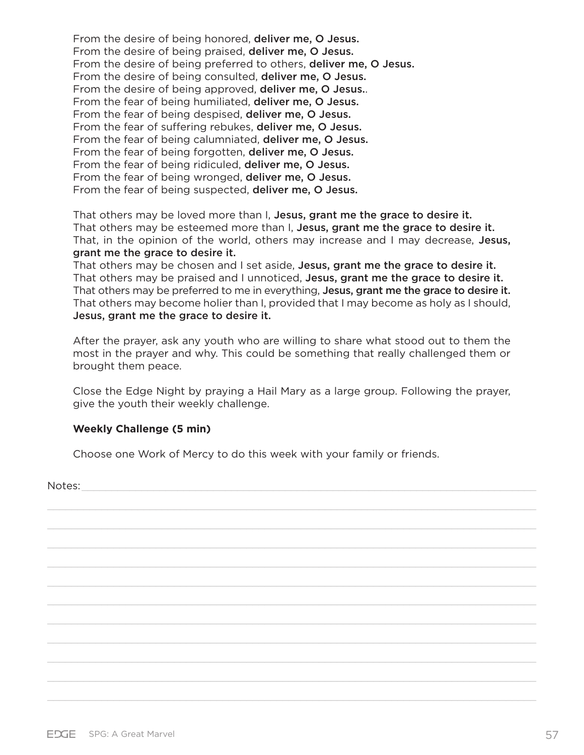From the desire of being honored, deliver me, O Jesus. From the desire of being praised, deliver me, O Jesus. From the desire of being preferred to others, deliver me, O Jesus. From the desire of being consulted, deliver me, O Jesus. From the desire of being approved, deliver me, O Jesus... From the fear of being humiliated, deliver me, O Jesus. From the fear of being despised, deliver me, O Jesus. From the fear of suffering rebukes, deliver me, O Jesus. From the fear of being calumniated, deliver me, O Jesus. From the fear of being forgotten, deliver me, O Jesus. From the fear of being ridiculed, deliver me, O Jesus. From the fear of being wronged, deliver me, O Jesus. From the fear of being suspected, deliver me, O Jesus.

That others may be loved more than I, Jesus, grant me the grace to desire it. That others may be esteemed more than I, Jesus, grant me the grace to desire it. That, in the opinion of the world, others may increase and I may decrease, Jesus, grant me the grace to desire it.

That others may be chosen and I set aside, Jesus, grant me the grace to desire it. That others may be praised and I unnoticed, Jesus, grant me the grace to desire it. That others may be preferred to me in everything, Jesus, grant me the grace to desire it. That others may become holier than I, provided that I may become as holy as I should, Jesus, grant me the grace to desire it.

After the prayer, ask any youth who are willing to share what stood out to them the most in the prayer and why. This could be something that really challenged them or brought them peace.

Close the Edge Night by praying a Hail Mary as a large group. Following the prayer, give the youth their weekly challenge.

#### **Weekly Challenge (5 min)**

Choose one Work of Mercy to do this week with your family or friends.

Notes: \_\_\_\_\_\_\_\_\_\_\_\_\_\_\_\_\_\_\_\_\_\_\_\_\_\_\_\_\_\_\_\_\_\_\_\_\_\_\_\_\_\_\_\_\_\_\_\_\_\_\_\_\_\_\_\_\_\_\_\_\_\_\_\_\_\_\_\_\_\_\_\_\_\_\_\_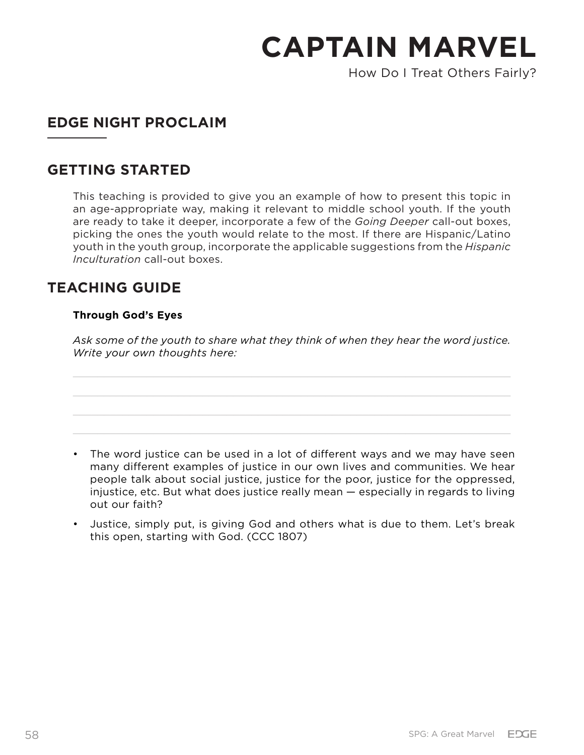How Do I Treat Others Fairly?

## **EDGE NIGHT PROCLAIM**

## **GETTING STARTED**

This teaching is provided to give you an example of how to present this topic in an age-appropriate way, making it relevant to middle school youth. If the youth are ready to take it deeper, incorporate a few of the *Going Deeper* call-out boxes, picking the ones the youth would relate to the most. If there are Hispanic/Latino youth in the youth group, incorporate the applicable suggestions from the *Hispanic Inculturation* call-out boxes.

## **TEACHING GUIDE**

#### **Through God's Eyes**

*Ask some of the youth to share what they think of when they hear the word justice. Write your own thoughts here:*

- The word justice can be used in a lot of different ways and we may have seen many different examples of justice in our own lives and communities. We hear people talk about social justice, justice for the poor, justice for the oppressed, injustice, etc. But what does justice really mean — especially in regards to living out our faith?
- Justice, simply put, is giving God and others what is due to them. Let's break this open, starting with God. (CCC 1807)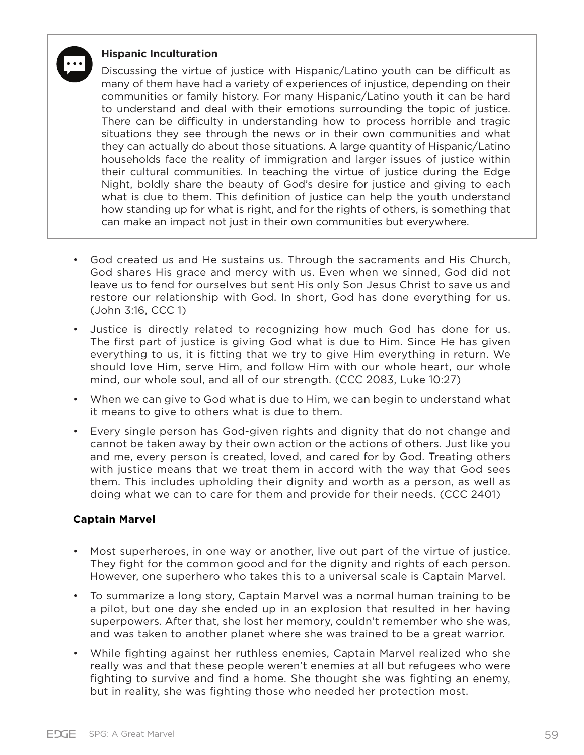## **Hispanic Inculturation**

Discussing the virtue of justice with Hispanic/Latino youth can be difficult as many of them have had a variety of experiences of injustice, depending on their communities or family history. For many Hispanic/Latino youth it can be hard to understand and deal with their emotions surrounding the topic of justice. There can be difficulty in understanding how to process horrible and tragic situations they see through the news or in their own communities and what they can actually do about those situations. A large quantity of Hispanic/Latino households face the reality of immigration and larger issues of justice within their cultural communities. In teaching the virtue of justice during the Edge Night, boldly share the beauty of God's desire for justice and giving to each what is due to them. This definition of justice can help the youth understand how standing up for what is right, and for the rights of others, is something that can make an impact not just in their own communities but everywhere.

- God created us and He sustains us. Through the sacraments and His Church, God shares His grace and mercy with us. Even when we sinned, God did not leave us to fend for ourselves but sent His only Son Jesus Christ to save us and restore our relationship with God. In short, God has done everything for us. (John 3:16, CCC 1)
- Justice is directly related to recognizing how much God has done for us. The first part of justice is giving God what is due to Him. Since He has given everything to us, it is fitting that we try to give Him everything in return. We should love Him, serve Him, and follow Him with our whole heart, our whole mind, our whole soul, and all of our strength. (CCC 2083, Luke 10:27)
- When we can give to God what is due to Him, we can begin to understand what it means to give to others what is due to them.
- Every single person has God-given rights and dignity that do not change and cannot be taken away by their own action or the actions of others. Just like you and me, every person is created, loved, and cared for by God. Treating others with justice means that we treat them in accord with the way that God sees them. This includes upholding their dignity and worth as a person, as well as doing what we can to care for them and provide for their needs. (CCC 2401)

#### **Captain Marvel**

- Most superheroes, in one way or another, live out part of the virtue of justice. They fight for the common good and for the dignity and rights of each person. However, one superhero who takes this to a universal scale is Captain Marvel.
- To summarize a long story, Captain Marvel was a normal human training to be a pilot, but one day she ended up in an explosion that resulted in her having superpowers. After that, she lost her memory, couldn't remember who she was, and was taken to another planet where she was trained to be a great warrior.
- While fighting against her ruthless enemies, Captain Marvel realized who she really was and that these people weren't enemies at all but refugees who were fighting to survive and find a home. She thought she was fighting an enemy, but in reality, she was fighting those who needed her protection most.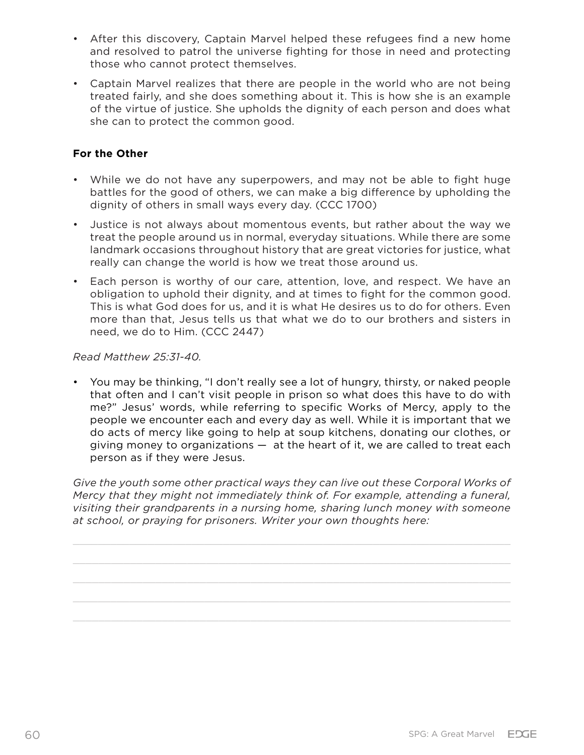- After this discovery, Captain Marvel helped these refugees find a new home and resolved to patrol the universe fighting for those in need and protecting those who cannot protect themselves.
- Captain Marvel realizes that there are people in the world who are not being treated fairly, and she does something about it. This is how she is an example of the virtue of justice. She upholds the dignity of each person and does what she can to protect the common good.

#### **For the Other**

- While we do not have any superpowers, and may not be able to fight huge battles for the good of others, we can make a big difference by upholding the dignity of others in small ways every day. (CCC 1700)
- Justice is not always about momentous events, but rather about the way we treat the people around us in normal, everyday situations. While there are some landmark occasions throughout history that are great victories for justice, what really can change the world is how we treat those around us.
- Each person is worthy of our care, attention, love, and respect. We have an obligation to uphold their dignity, and at times to fight for the common good. This is what God does for us, and it is what He desires us to do for others. Even more than that, Jesus tells us that what we do to our brothers and sisters in need, we do to Him. (CCC 2447)

#### *Read Matthew 25:31-40.*

• You may be thinking, "I don't really see a lot of hungry, thirsty, or naked people that often and I can't visit people in prison so what does this have to do with me?" Jesus' words, while referring to specific Works of Mercy, apply to the people we encounter each and every day as well. While it is important that we do acts of mercy like going to help at soup kitchens, donating our clothes, or giving money to organizations — at the heart of it, we are called to treat each person as if they were Jesus.

Give the youth some other practical ways they can live out these Corporal Works of *Mercy that they might not immediately think of. For example, attending a funeral, visiting their grandparents in a nursing home, sharing lunch money with someone at school, or praying for prisoners. Writer your own thoughts here:*